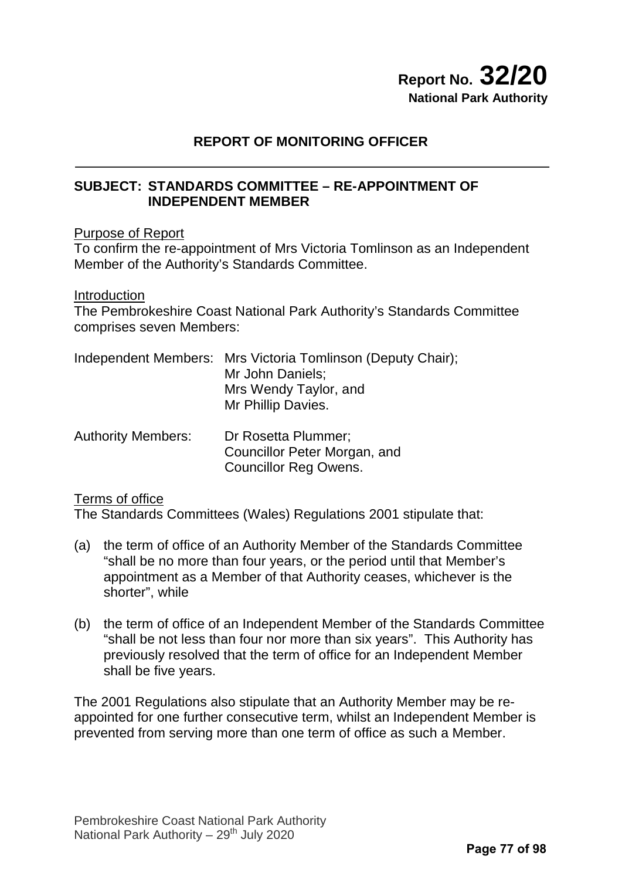# **Report No. 32/20 National Park Authority**

# **REPORT OF MONITORING OFFICER**

# **SUBJECT: STANDARDS COMMITTEE – RE-APPOINTMENT OF INDEPENDENT MEMBER**

### Purpose of Report

To confirm the re-appointment of Mrs Victoria Tomlinson as an Independent Member of the Authority's Standards Committee.

#### Introduction

The Pembrokeshire Coast National Park Authority's Standards Committee comprises seven Members:

|                           | Independent Members: Mrs Victoria Tomlinson (Deputy Chair);<br>Mr John Daniels;<br>Mrs Wendy Taylor, and<br>Mr Phillip Davies. |
|---------------------------|--------------------------------------------------------------------------------------------------------------------------------|
| <b>Authority Members:</b> | Dr Rosetta Plummer;                                                                                                            |

 Councillor Peter Morgan, and Councillor Reg Owens.

#### Terms of office

The Standards Committees (Wales) Regulations 2001 stipulate that:

- (a) the term of office of an Authority Member of the Standards Committee "shall be no more than four years, or the period until that Member's appointment as a Member of that Authority ceases, whichever is the shorter", while
- (b) the term of office of an Independent Member of the Standards Committee "shall be not less than four nor more than six years". This Authority has previously resolved that the term of office for an Independent Member shall be five years.

The 2001 Regulations also stipulate that an Authority Member may be reappointed for one further consecutive term, whilst an Independent Member is prevented from serving more than one term of office as such a Member.